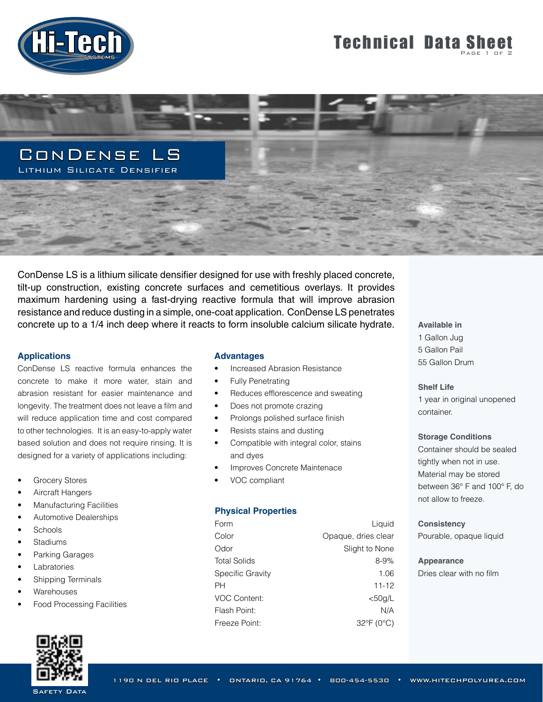

# **Technical Data Sheet**



ConDense LS is a lithium silicate densifier designed for use with freshly placed concrete, tilt-up construction, existing concrete surfaces and cemetitious overlays. It provides maximum hardening using a fast-drying reactive formula that will improve abrasion resistance and reduce dusting in a simple, one-coat application. ConDense LS penetrates concrete up to a 1/4 inch deep where it reacts to form insoluble calcium silicate hydrate.

## **Applications**

ConDense LS reactive formula enhances the concrete to make it more water, stain and abrasion resistant for easier maintenance and longevity. The treatment does not leave a film and will reduce application time and cost compared to other technologies. It is an easy-to-apply water based solution and does not require rinsing. It is designed for a variety of applications including:

- **Grocery Stores**
- Aircraft Hangers
- Manufacturing Facilities
- Automotive Dealerships
- Schools
- **Stadiums**
- Parking Garages
- Labratories
- Shipping Terminals
- **Warehouses**
- Food Processing Facilities



#### **Advantages**

- Increased Abrasion Resistance
- Fully Penetrating
- Reduces efflorescence and sweating
- Does not promote crazing
- Prolongs polished surface finish
- Resists stains and dusting
- Compatible with integral color, stains and dyes
- Improves Concrete Maintenace
- VOC compliant

#### **Physical Properties**

| Form                | Liquid              |
|---------------------|---------------------|
| Color               | Opaque, dries clear |
| Odor                | Slight to None      |
| <b>Total Solids</b> | $8 - 9%$            |
| Specific Gravity    | 1.06                |
| PH                  | 11-12               |
| <b>VOC Content:</b> | $<$ 50g/L           |
| Flash Point:        | N/A                 |
| Freeze Point:       | 32°F (0°C)          |

**Available in** 1 Gallon Jug 5 Gallon Pail 55 Gallon Drum

## **Shelf Life**

1 year in original unopened container.

#### **Storage Conditions**

Container should be sealed tightly when not in use. Material may be stored between 36° F and 100° F, do not allow to freeze.

#### **Consistency**

Pourable, opaque liquid

# **Appearance**

Dries clear with no film